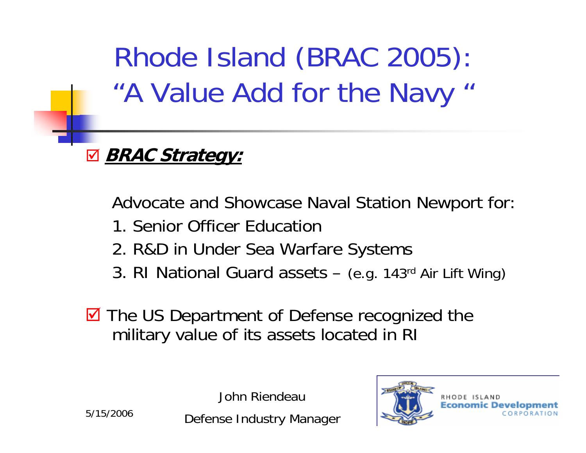Rhode Island (BRAC 2005): "A Value Add for the Navy "



Advocate and Showcase Naval Station Newport for:

- 1. Senior Officer Education
- 2. R&D in Under Sea Warfare Systems
- 3. RI National Guard assets (e.g. 143rd Air Lift Wing)
- **Ø** The US Department of Defense recognized the military value of its assets located in RI

John Riendeau



5/15/2006

Defense Industry Manager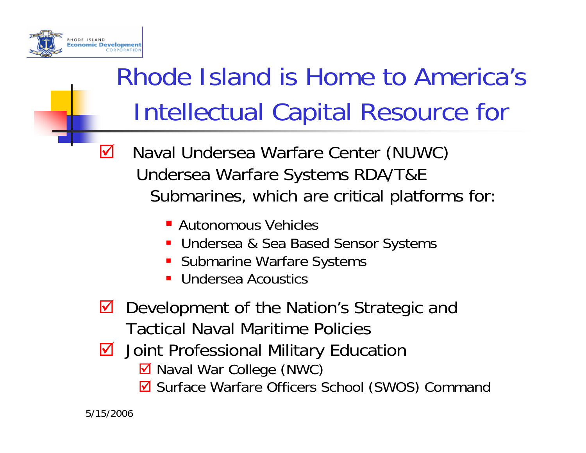

### Rhode Island is Home to America's Intellectual Capital Resource for

- $\mathsf{M}$  Naval Undersea Warfare Center (NUWC) Undersea Warfare Systems RDA/T&E Submarines, which are critical platforms for:
	- Autonomous Vehicles
	- Undersea & Sea Based Sensor Systems
	- **Submarine Warfare Systems**
	- **Undersea Acoustics**
- ☑ Development of the Nation's Strategic and Tactical Naval Maritime Policies
- $\sqrt{2}$  Joint Professional Military Education
	- **Ø** Naval War College (NWC)
	- **Ø** Surface Warfare Officers School (SWOS) Command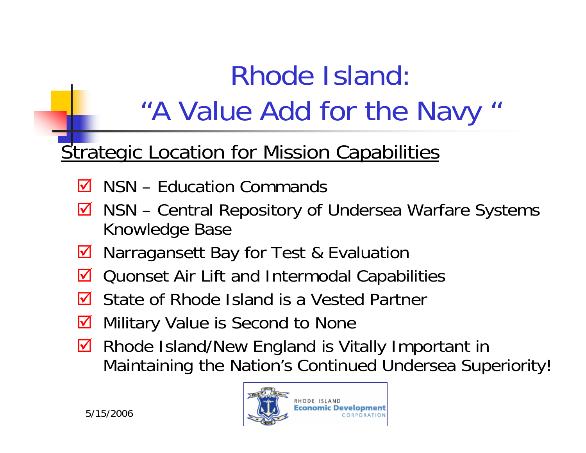## Rhode Island: "A Value Add for the Navy "

#### **Strategic Location for Mission Capabilities**

- $\boxtimes$  NSN Education Commands
- $\boldsymbol{\mathsf{M}}$  NSN – Central Repository of Undersea Warfare Systems Knowledge Base
- $\boldsymbol{\mathsf{M}}$ Narragansett Bay for Test & Evaluation
- $\mathsf{M}$ Quonset Air Lift and Intermodal Capabilities
- $\overline{\mathsf{M}}$ State of Rhode Island is a Vested Partner
- $\blacktriangledown$ Military Value is Second to None
- $\boldsymbol{\mathsf{M}}$  Rhode Island/New England is Vitally Important in Maintaining the Nation's Continued Undersea Superiority!

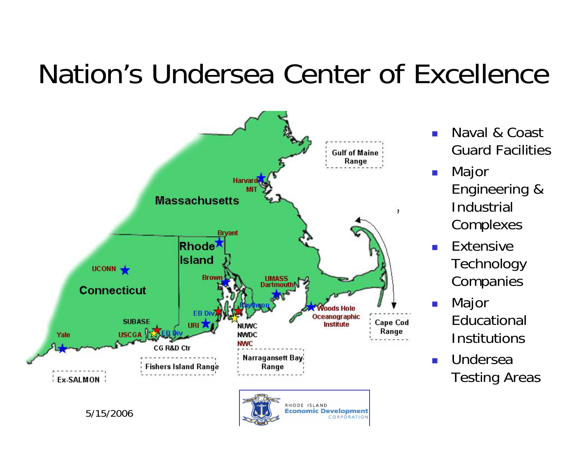### Nation's Undersea Center of Excellence



- $\overline{\phantom{a}}$  Naval & Coast Guard Facilities
- $\mathcal{L}_{\mathcal{A}}$  Major Engineering & Industrial **Complexes**
- $\overline{\phantom{a}}$ **Extensive Technology** Companies
- $\overline{\mathcal{A}}$  Major Educational **Institutions**
- $\overline{\phantom{a}}$  Undersea Testing Areas